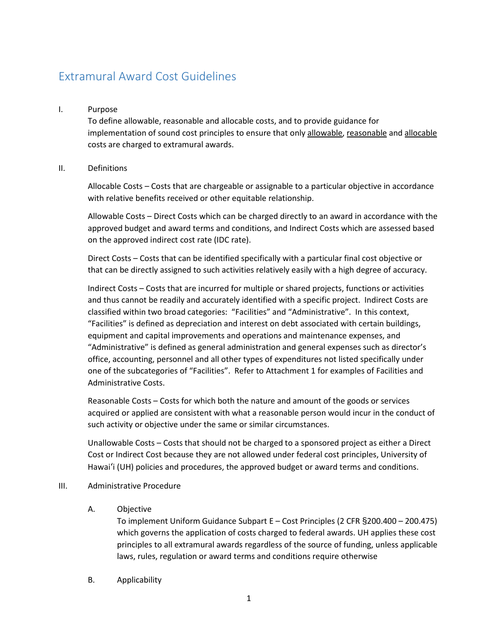# Extramural Award Cost Guidelines

#### I. Purpose

To define allowable, reasonable and allocable costs, and to provide guidance for implementation of sound cost principles to ensure that only allowable, reasonable and allocable costs are charged to extramural awards.

#### II. Definitions

Allocable Costs – Costs that are chargeable or assignable to a particular objective in accordance with relative benefits received or other equitable relationship.

Allowable Costs – Direct Costs which can be charged directly to an award in accordance with the approved budget and award terms and conditions, and Indirect Costs which are assessed based on the approved indirect cost rate (IDC rate).

Direct Costs – Costs that can be identified specifically with a particular final cost objective or that can be directly assigned to such activities relatively easily with a high degree of accuracy.

Indirect Costs – Costs that are incurred for multiple or shared projects, functions or activities and thus cannot be readily and accurately identified with a specific project. Indirect Costs are classified within two broad categories: "Facilities" and "Administrative". In this context, "Facilities" is defined as depreciation and interest on debt associated with certain buildings, equipment and capital improvements and operations and maintenance expenses, and "Administrative" is defined as general administration and general expenses such as director's office, accounting, personnel and all other types of expenditures not listed specifically under one of the subcategories of "Facilities". Refer to Attachment 1 for examples of Facilities and Administrative Costs.

Reasonable Costs – Costs for which both the nature and amount of the goods or services acquired or applied are consistent with what a reasonable person would incur in the conduct of such activity or objective under the same or similar circumstances.

Unallowable Costs – Costs that should not be charged to a sponsored project as either a Direct Cost or Indirect Cost because they are not allowed under federal cost principles, University of Hawai'i (UH) policies and procedures, the approved budget or award terms and conditions.

#### III. Administrative Procedure

## A. Objective

To implement Uniform Guidance Subpart E – Cost Principles (2 CFR §200.400 – 200.475) which governs the application of costs charged to federal awards. UH applies these cost principles to all extramural awards regardless of the source of funding, unless applicable laws, rules, regulation or award terms and conditions require otherwise

B. Applicability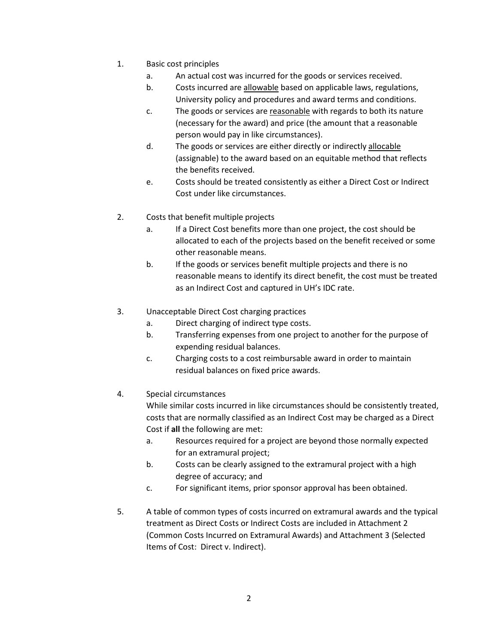- 1. Basic cost principles
	- a. An actual cost was incurred for the goods or services received.
	- b. Costs incurred are allowable based on applicable laws, regulations, University policy and procedures and award terms and conditions.
	- c. The goods or services are reasonable with regards to both its nature (necessary for the award) and price (the amount that a reasonable person would pay in like circumstances).
	- d. The goods or services are either directly or indirectly allocable (assignable) to the award based on an equitable method that reflects the benefits received.
	- e. Costs should be treated consistently as either a Direct Cost or Indirect Cost under like circumstances.
- 2. Costs that benefit multiple projects
	- a. If a Direct Cost benefits more than one project, the cost should be allocated to each of the projects based on the benefit received or some other reasonable means.
	- b. If the goods or services benefit multiple projects and there is no reasonable means to identify its direct benefit, the cost must be treated as an Indirect Cost and captured in UH's IDC rate.
- 3. Unacceptable Direct Cost charging practices
	- a. Direct charging of indirect type costs.
	- b. Transferring expenses from one project to another for the purpose of expending residual balances.
	- c. Charging costs to a cost reimbursable award in order to maintain residual balances on fixed price awards.
- 4. Special circumstances

While similar costs incurred in like circumstances should be consistently treated, costs that are normally classified as an Indirect Cost may be charged as a Direct Cost if **all** the following are met:

- a. Resources required for a project are beyond those normally expected for an extramural project;
- b. Costs can be clearly assigned to the extramural project with a high degree of accuracy; and
- c. For significant items, prior sponsor approval has been obtained.
- 5. A table of common types of costs incurred on extramural awards and the typical treatment as Direct Costs or Indirect Costs are included in Attachment 2 (Common Costs Incurred on Extramural Awards) and Attachment 3 (Selected Items of Cost: Direct v. Indirect).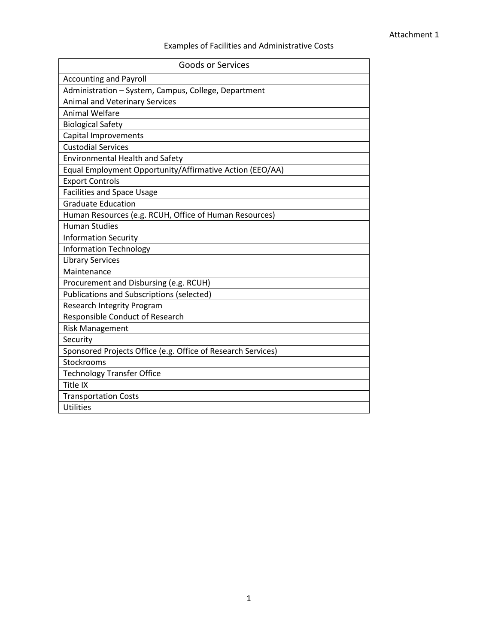# Examples of Facilities and Administrative Costs

| <b>Goods or Services</b>                                     |
|--------------------------------------------------------------|
| <b>Accounting and Payroll</b>                                |
| Administration - System, Campus, College, Department         |
| <b>Animal and Veterinary Services</b>                        |
| <b>Animal Welfare</b>                                        |
| <b>Biological Safety</b>                                     |
| Capital Improvements                                         |
| <b>Custodial Services</b>                                    |
| <b>Environmental Health and Safety</b>                       |
| Equal Employment Opportunity/Affirmative Action (EEO/AA)     |
| <b>Export Controls</b>                                       |
| <b>Facilities and Space Usage</b>                            |
| <b>Graduate Education</b>                                    |
| Human Resources (e.g. RCUH, Office of Human Resources)       |
| <b>Human Studies</b>                                         |
| <b>Information Security</b>                                  |
| <b>Information Technology</b>                                |
| <b>Library Services</b>                                      |
| Maintenance                                                  |
| Procurement and Disbursing (e.g. RCUH)                       |
| <b>Publications and Subscriptions (selected)</b>             |
| <b>Research Integrity Program</b>                            |
| Responsible Conduct of Research                              |
| <b>Risk Management</b>                                       |
| Security                                                     |
| Sponsored Projects Office (e.g. Office of Research Services) |
| Stockrooms                                                   |
| <b>Technology Transfer Office</b>                            |
| Title IX                                                     |
| <b>Transportation Costs</b>                                  |
| <b>Utilities</b>                                             |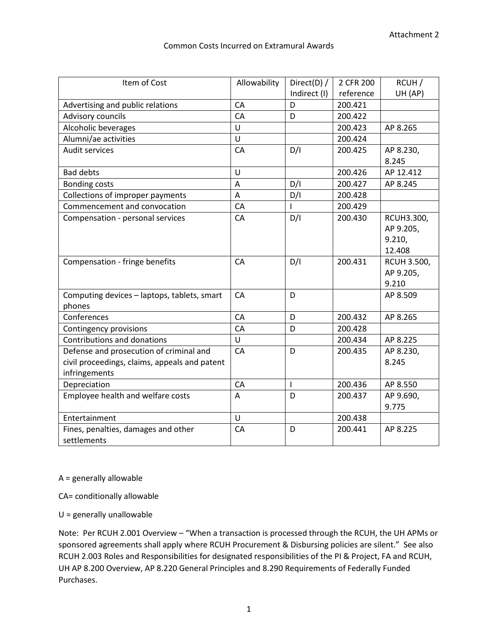## Common Costs Incurred on Extramural Awards

| Item of Cost                                  | Allowability | Direct(D) /              | 2 CFR 200 | RCUH /             |
|-----------------------------------------------|--------------|--------------------------|-----------|--------------------|
|                                               |              | Indirect (I)             | reference | UH (AP)            |
| Advertising and public relations              | CA           | D                        | 200.421   |                    |
| Advisory councils                             | CA           | D                        | 200.422   |                    |
| Alcoholic beverages                           | U            |                          | 200.423   | AP 8.265           |
| Alumni/ae activities                          | Ü            |                          | 200.424   |                    |
| Audit services                                | CA           | D/I                      | 200.425   | AP 8.230,          |
|                                               |              |                          |           | 8.245              |
| <b>Bad debts</b>                              | U            |                          | 200.426   | AP 12.412          |
| <b>Bonding costs</b>                          | A            | D/I                      | 200.427   | AP 8.245           |
| Collections of improper payments              | A            | D/I                      | 200.428   |                    |
| Commencement and convocation                  | CA           |                          | 200.429   |                    |
| Compensation - personal services              | CA           | D/I                      | 200.430   | RCUH3.300,         |
|                                               |              |                          |           | AP 9.205,          |
|                                               |              |                          |           | 9.210,             |
|                                               |              |                          |           | 12.408             |
| Compensation - fringe benefits                | CA           | D/I                      | 200.431   | <b>RCUH 3.500,</b> |
|                                               |              |                          |           | AP 9.205,          |
|                                               |              |                          |           | 9.210              |
| Computing devices - laptops, tablets, smart   | CA           | D                        |           | AP 8.509           |
| phones                                        |              |                          |           |                    |
| Conferences                                   | CA           | D                        | 200.432   | AP 8.265           |
| Contingency provisions                        | CA           | D                        | 200.428   |                    |
| Contributions and donations                   | U            |                          | 200.434   | AP 8.225           |
| Defense and prosecution of criminal and       | CA           | D                        | 200.435   | AP 8.230,          |
| civil proceedings, claims, appeals and patent |              |                          |           | 8.245              |
| infringements                                 |              |                          |           |                    |
| Depreciation                                  | CA           | $\overline{\phantom{a}}$ | 200.436   | AP 8.550           |
| Employee health and welfare costs             | A            | D                        | 200.437   | AP 9.690,          |
|                                               |              |                          |           | 9.775              |
| Entertainment                                 | U            |                          | 200.438   |                    |
| Fines, penalties, damages and other           | CA           | D                        | 200.441   | AP 8.225           |
| settlements                                   |              |                          |           |                    |

A = generally allowable

CA= conditionally allowable

U = generally unallowable

Note: Per RCUH 2.001 Overview – "When a transaction is processed through the RCUH, the UH APMs or sponsored agreements shall apply where RCUH Procurement & Disbursing policies are silent." See also RCUH 2.003 Roles and Responsibilities for designated responsibilities of the PI & Project, FA and RCUH, UH AP 8.200 Overview, AP 8.220 General Principles and 8.290 Requirements of Federally Funded Purchases.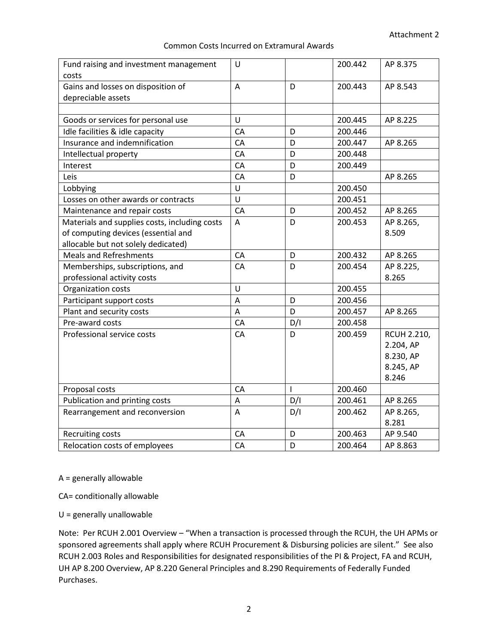#### Common Costs Incurred on Extramural Awards

| Fund raising and investment management        | U  |              | 200.442 | AP 8.375           |
|-----------------------------------------------|----|--------------|---------|--------------------|
| costs                                         |    |              |         |                    |
| Gains and losses on disposition of            | A  | D            | 200.443 | AP 8.543           |
| depreciable assets                            |    |              |         |                    |
|                                               |    |              |         |                    |
| Goods or services for personal use            | U  |              | 200.445 | AP 8.225           |
| Idle facilities & idle capacity               | CA | D            | 200.446 |                    |
| Insurance and indemnification                 | CA | D            | 200.447 | AP 8.265           |
| Intellectual property                         | CA | D            | 200.448 |                    |
| Interest                                      | CA | D            | 200.449 |                    |
| Leis                                          | CA | D            |         | AP 8.265           |
| Lobbying                                      | U  |              | 200.450 |                    |
| Losses on other awards or contracts           | Ù  |              | 200.451 |                    |
| Maintenance and repair costs                  | CA | D            | 200.452 | AP 8.265           |
| Materials and supplies costs, including costs | A  | D            | 200.453 | AP 8.265,          |
| of computing devices (essential and           |    |              |         | 8.509              |
| allocable but not solely dedicated)           |    |              |         |                    |
| <b>Meals and Refreshments</b>                 | CA | D            | 200.432 | AP 8.265           |
| Memberships, subscriptions, and               | CA | D            | 200.454 | AP 8.225,          |
| professional activity costs                   |    |              |         | 8.265              |
| Organization costs                            | Ù  |              | 200.455 |                    |
| Participant support costs                     | A  | D            | 200.456 |                    |
| Plant and security costs                      | A  | D            | 200.457 | AP 8.265           |
| Pre-award costs                               | CA | D/I          | 200.458 |                    |
| Professional service costs                    | CA | D            | 200.459 | <b>RCUH 2.210,</b> |
|                                               |    |              |         | 2.204, AP          |
|                                               |    |              |         | 8.230, AP          |
|                                               |    |              |         | 8.245, AP          |
|                                               |    |              |         | 8.246              |
| Proposal costs                                | CA | $\mathsf{I}$ | 200.460 |                    |
| Publication and printing costs                | A  | D/I          | 200.461 | AP 8.265           |
| Rearrangement and reconversion                | A  | D/I          | 200.462 | AP 8.265,          |
|                                               |    |              |         | 8.281              |
| Recruiting costs                              | CA | D            | 200.463 | AP 9.540           |
| Relocation costs of employees                 | CA | D            | 200.464 | AP 8.863           |

A = generally allowable

CA= conditionally allowable

U = generally unallowable

Note: Per RCUH 2.001 Overview – "When a transaction is processed through the RCUH, the UH APMs or sponsored agreements shall apply where RCUH Procurement & Disbursing policies are silent." See also RCUH 2.003 Roles and Responsibilities for designated responsibilities of the PI & Project, FA and RCUH, UH AP 8.200 Overview, AP 8.220 General Principles and 8.290 Requirements of Federally Funded Purchases.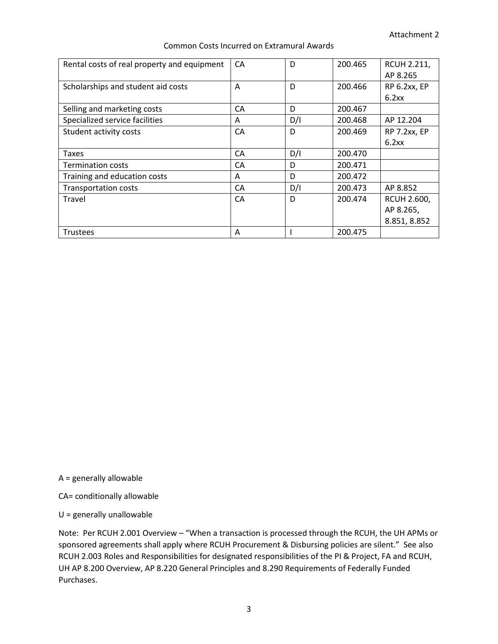| Rental costs of real property and equipment | СA | D   | 200.465 | <b>RCUH 2.211,</b> |
|---------------------------------------------|----|-----|---------|--------------------|
|                                             |    |     |         | AP 8.265           |
| Scholarships and student aid costs          | A  | D   | 200.466 | RP 6.2xx, EP       |
|                                             |    |     |         | 6.2xx              |
| Selling and marketing costs                 | CA | D   | 200.467 |                    |
| Specialized service facilities              | A  | D/I | 200.468 | AP 12.204          |
| Student activity costs                      | CA | D   | 200.469 | RP 7.2xx, EP       |
|                                             |    |     |         | 6.2xx              |
| <b>Taxes</b>                                | CA | D/I | 200.470 |                    |
| <b>Termination costs</b>                    | CA | D   | 200.471 |                    |
|                                             |    |     |         |                    |
| Training and education costs                | A  | D   | 200.472 |                    |
| <b>Transportation costs</b>                 | СA | D/I | 200.473 | AP 8.852           |
| Travel                                      | CA | D   | 200.474 | <b>RCUH 2.600,</b> |
|                                             |    |     |         | AP 8.265,          |
|                                             |    |     |         | 8.851, 8.852       |

#### Common Costs Incurred on Extramural Awards

A = generally allowable

CA= conditionally allowable

U = generally unallowable

Note: Per RCUH 2.001 Overview – "When a transaction is processed through the RCUH, the UH APMs or sponsored agreements shall apply where RCUH Procurement & Disbursing policies are silent." See also RCUH 2.003 Roles and Responsibilities for designated responsibilities of the PI & Project, FA and RCUH, UH AP 8.200 Overview, AP 8.220 General Principles and 8.290 Requirements of Federally Funded Purchases.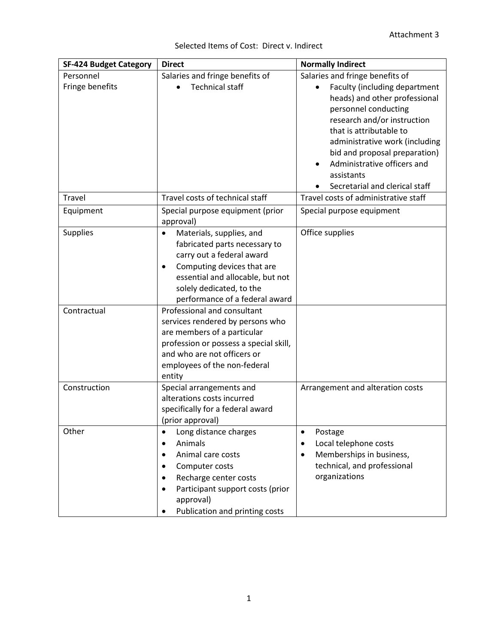| <b>SF-424 Budget Category</b> | <b>Direct</b>                          | <b>Normally Indirect</b>              |
|-------------------------------|----------------------------------------|---------------------------------------|
| Personnel                     | Salaries and fringe benefits of        | Salaries and fringe benefits of       |
| Fringe benefits               | <b>Technical staff</b>                 | Faculty (including department         |
|                               |                                        | heads) and other professional         |
|                               |                                        | personnel conducting                  |
|                               |                                        | research and/or instruction           |
|                               |                                        | that is attributable to               |
|                               |                                        | administrative work (including        |
|                               |                                        | bid and proposal preparation)         |
|                               |                                        | Administrative officers and           |
|                               |                                        | assistants                            |
|                               |                                        | Secretarial and clerical staff        |
| Travel                        | Travel costs of technical staff        | Travel costs of administrative staff  |
| Equipment                     | Special purpose equipment (prior       | Special purpose equipment             |
|                               | approval)                              |                                       |
| <b>Supplies</b>               | Materials, supplies, and<br>$\bullet$  | Office supplies                       |
|                               | fabricated parts necessary to          |                                       |
|                               | carry out a federal award              |                                       |
|                               | Computing devices that are             |                                       |
|                               | essential and allocable, but not       |                                       |
|                               | solely dedicated, to the               |                                       |
|                               | performance of a federal award         |                                       |
| Contractual                   | Professional and consultant            |                                       |
|                               | services rendered by persons who       |                                       |
|                               | are members of a particular            |                                       |
|                               | profession or possess a special skill, |                                       |
|                               | and who are not officers or            |                                       |
|                               | employees of the non-federal           |                                       |
| Construction                  | entity<br>Special arrangements and     | Arrangement and alteration costs      |
|                               | alterations costs incurred             |                                       |
|                               | specifically for a federal award       |                                       |
|                               | (prior approval)                       |                                       |
| Other                         | Long distance charges<br>$\bullet$     | Postage<br>$\bullet$                  |
|                               | Animals                                | Local telephone costs<br>$\bullet$    |
|                               | Animal care costs<br>٠                 | Memberships in business,<br>$\bullet$ |
|                               | Computer costs                         | technical, and professional           |
|                               | Recharge center costs<br>٠             | organizations                         |
|                               | Participant support costs (prior<br>٠  |                                       |
|                               | approval)                              |                                       |
|                               | Publication and printing costs         |                                       |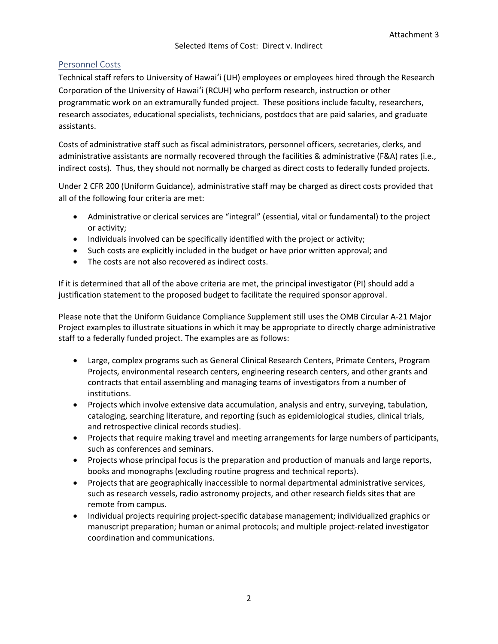# Personnel Costs

Technical staff refers to University of Hawai'i (UH) employees or employees hired through the Research Corporation of the University of Hawai'i (RCUH) who perform research, instruction or other programmatic work on an extramurally funded project. These positions include faculty, researchers, research associates, educational specialists, technicians, postdocs that are paid salaries, and graduate assistants.

Costs of administrative staff such as fiscal administrators, personnel officers, secretaries, clerks, and administrative assistants are normally recovered through the facilities & administrative (F&A) rates (i.e., indirect costs). Thus, they should not normally be charged as direct costs to federally funded projects.

Under 2 CFR 200 (Uniform Guidance), administrative staff may be charged as direct costs provided that all of the following four criteria are met:

- Administrative or clerical services are "integral" (essential, vital or fundamental) to the project or activity;
- Individuals involved can be specifically identified with the project or activity;
- Such costs are explicitly included in the budget or have prior written approval; and
- The costs are not also recovered as indirect costs.

If it is determined that all of the above criteria are met, the principal investigator (PI) should add a justification statement to the proposed budget to facilitate the required sponsor approval.

Please note that the Uniform Guidance Compliance Supplement still uses the OMB Circular A-21 Major Project examples to illustrate situations in which it may be appropriate to directly charge administrative staff to a federally funded project. The examples are as follows:

- Large, complex programs such as General Clinical Research Centers, Primate Centers, Program Projects, environmental research centers, engineering research centers, and other grants and contracts that entail assembling and managing teams of investigators from a number of institutions.
- Projects which involve extensive data accumulation, analysis and entry, surveying, tabulation, cataloging, searching literature, and reporting (such as epidemiological studies, clinical trials, and retrospective clinical records studies).
- Projects that require making travel and meeting arrangements for large numbers of participants, such as conferences and seminars.
- Projects whose principal focus is the preparation and production of manuals and large reports, books and monographs (excluding routine progress and technical reports).
- Projects that are geographically inaccessible to normal departmental administrative services, such as research vessels, radio astronomy projects, and other research fields sites that are remote from campus.
- Individual projects requiring project-specific database management; individualized graphics or manuscript preparation; human or animal protocols; and multiple project-related investigator coordination and communications.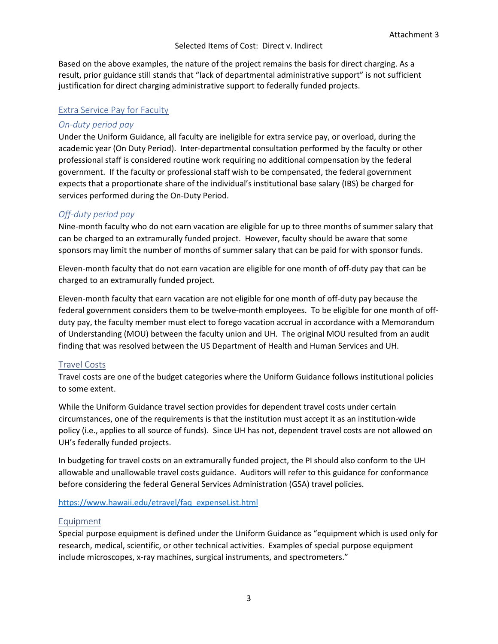#### Selected Items of Cost: Direct v. Indirect

Based on the above examples, the nature of the project remains the basis for direct charging. As a result, prior guidance still stands that "lack of departmental administrative support" is not sufficient justification for direct charging administrative support to federally funded projects.

#### Extra Service Pay for Faculty

#### *On-duty period pay*

Under the Uniform Guidance, all faculty are ineligible for extra service pay, or overload, during the academic year (On Duty Period). Inter-departmental consultation performed by the faculty or other professional staff is considered routine work requiring no additional compensation by the federal government. If the faculty or professional staff wish to be compensated, the federal government expects that a proportionate share of the individual's institutional base salary (IBS) be charged for services performed during the On-Duty Period.

## *Off-duty period pay*

Nine-month faculty who do not earn vacation are eligible for up to three months of summer salary that can be charged to an extramurally funded project. However, faculty should be aware that some sponsors may limit the number of months of summer salary that can be paid for with sponsor funds.

Eleven-month faculty that do not earn vacation are eligible for one month of off-duty pay that can be charged to an extramurally funded project.

Eleven-month faculty that earn vacation are not eligible for one month of off-duty pay because the federal government considers them to be twelve-month employees. To be eligible for one month of offduty pay, the faculty member must elect to forego vacation accrual in accordance with a Memorandum of Understanding (MOU) between the faculty union and UH. The original MOU resulted from an audit finding that was resolved between the US Department of Health and Human Services and UH.

## Travel Costs

Travel costs are one of the budget categories where the Uniform Guidance follows institutional policies to some extent.

While the Uniform Guidance travel section provides for dependent travel costs under certain circumstances, one of the requirements is that the institution must accept it as an institution-wide policy (i.e., applies to all source of funds). Since UH has not, dependent travel costs are not allowed on UH's federally funded projects.

In budgeting for travel costs on an extramurally funded project, the PI should also conform to the UH allowable and unallowable travel costs guidance. Auditors will refer to this guidance for conformance before considering the federal General Services Administration (GSA) travel policies.

#### [https://www.hawaii.edu/etravel/faq\\_expenseList.html](https://www.hawaii.edu/etravel/faq_expenseList.html)

## Equipment

Special purpose equipment is defined under the Uniform Guidance as "equipment which is used only for research, medical, scientific, or other technical activities. Examples of special purpose equipment include microscopes, x-ray machines, surgical instruments, and spectrometers."